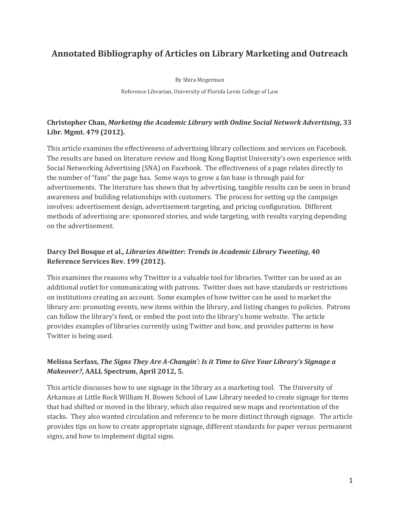# **Annotated Bibliography of Articles on Library Marketing and Outreach**

By Shira Megerman Reference Librarian, University of Florida Levin College of Law

#### **Christopher Chan,** *Marketing the Academic Library with Online Social Network Advertising***, 33 Libr. Mgmt. 479 (2012).**

This article examines the effectiveness of advertising library collections and services on Facebook. The results are based on literature review and Hong Kong Baptist University's own experience with Social Networking Advertising (SNA) on Facebook. The effectiveness of a page relates directly to the number of "fans" the page has. Some ways to grow a fan base is through paid for advertisements. The literature has shown that by advertising, tangible results can be seen in brand awareness and building relationships with customers. The process for setting up the campaign involves: advertisement design, advertisement targeting, and pricing configuration. Different methods of advertising are: sponsored stories, and wide targeting, with results varying depending on the advertisement.

#### **Darcy Del Bosque et al.,** *Libraries Atwitter: Trends in Academic Library Tweeting***, 40 Reference Services Rev. 199 (2012).**

This examines the reasons why Ttwitter is a valuable tool for libraries. Twitter can be used as an additional outlet for communicating with patrons. Twitter does not have standards or restrictions on institutions creating an account. Some examples of how twitter can be used to market the library are: promoting events, new items within the library, and listing changes to policies. Patrons can follow the library's feed, or embed the post into the library's home website. The article provides examples of libraries currently using Twitter and how, and provides patterns in how Twitter is being used.

#### **Melissa Serfass,** *The Signs They Are A-Changin': Is it Time to Give Your Library's Signage a Makeover?***, AALL Spectrum, April 2012, 5.**

This article discusses how to use signage in the library as a marketing tool. The University of Arkansas at Little Rock William H. Bowen School of Law Library needed to create signage for items that had shifted or moved in the library, which also required new maps and reorientation of the stacks. They also wanted circulation and reference to be more distinct through signage. The article provides tips on how to create appropriate signage, different standards for paper versus permanent signs, and how to implement digital signs.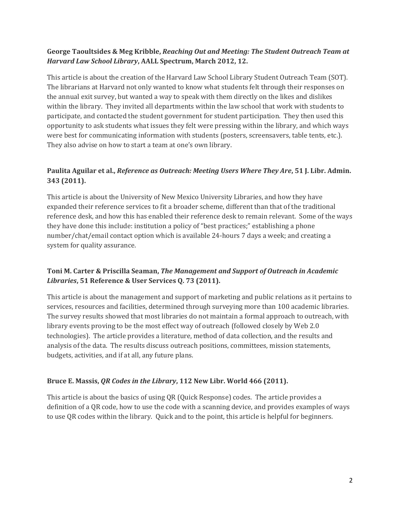#### **George Taoultsides & Meg Kribble,** *Reaching Out and Meeting: The Student Outreach Team at Harvard Law School Library***, AALL Spectrum, March 2012, 12.**

This article is about the creation of the Harvard Law School Library Student Outreach Team (SOT). The librarians at Harvard not only wanted to know what students felt through their responses on the annual exit survey, but wanted a way to speak with them directly on the likes and dislikes within the library. They invited all departments within the law school that work with students to participate, and contacted the student government for student participation. They then used this opportunity to ask students what issues they felt were pressing within the library, and which ways were best for communicating information with students (posters, screensavers, table tents, etc.). They also advise on how to start a team at one's own library.

# **Paulita Aguilar et al.,** *Reference as Outreach: Meeting Users Where They Are***, 51 J. Libr. Admin. 343 (2011).**

This article is about the University of New Mexico University Libraries, and how they have expanded their reference services to fit a broader scheme, different than that of the traditional reference desk, and how this has enabled their reference desk to remain relevant. Some of the ways they have done this include: institution a policy of "best practices;" establishing a phone number/chat/email contact option which is available 24-hours 7 days a week; and creating a system for quality assurance.

# **Toni M. Carter & Priscilla Seaman,** *The Management and Support of Outreach in Academic Libraries***, 51 Reference & User Services Q. 73 (2011).**

This article is about the management and support of marketing and public relations as it pertains to services, resources and facilities, determined through surveying more than 100 academic libraries. The survey results showed that most libraries do not maintain a formal approach to outreach, with library events proving to be the most effect way of outreach (followed closely by Web 2.0 technologies). The article provides a literature, method of data collection, and the results and analysis of the data. The results discuss outreach positions, committees, mission statements, budgets, activities, and if at all, any future plans.

# **Bruce E. Massis,** *QR Codes in the Library***, 112 New Libr. World 466 (2011).**

This article is about the basics of using QR (Quick Response) codes. The article provides a definition of a QR code, how to use the code with a scanning device, and provides examples of ways to use QR codes within the library. Quick and to the point, this article is helpful for beginners.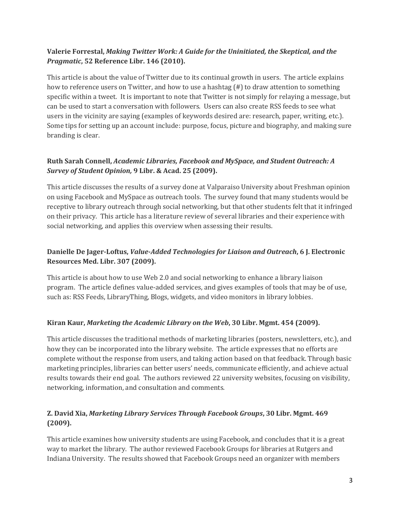## **Valerie Forrestal,** *Making Twitter Work: A Guide for the Uninitiated, the Skeptical, and the Pragmatic***, 52 Reference Libr. 146 (2010).**

This article is about the value of Twitter due to its continual growth in users. The article explains how to reference users on Twitter, and how to use a hashtag (#) to draw attention to something specific within a tweet. It is important to note that Twitter is not simply for relaying a message, but can be used to start a conversation with followers. Users can also create RSS feeds to see what users in the vicinity are saying (examples of keywords desired are: research, paper, writing, etc.). Some tips for setting up an account include: purpose, focus, picture and biography, and making sure branding is clear.

#### **Ruth Sarah Connell,** *Academic Libraries, Facebook and MySpace, and Student Outreach: A Survey of Student Opinion,* **9 Libr. & Acad. 25 (2009).**

This article discusses the results of a survey done at Valparaiso University about Freshman opinion on using Facebook and MySpace as outreach tools. The survey found that many students would be receptive to library outreach through social networking, but that other students felt that it infringed on their privacy. This article has a literature review of several libraries and their experience with social networking, and applies this overview when assessing their results.

## **Danielle De Jager-Loftus,** *Value-Added Technologies for Liaison and Outreach***, 6 J. Electronic Resources Med. Libr. 307 (2009).**

This article is about how to use Web 2.0 and social networking to enhance a library liaison program. The article defines value-added services, and gives examples of tools that may be of use, such as: RSS Feeds, LibraryThing, Blogs, widgets, and video monitors in library lobbies.

#### **Kiran Kaur,** *Marketing the Academic Library on the Web***, 30 Libr. Mgmt. 454 (2009).**

This article discusses the traditional methods of marketing libraries (posters, newsletters, etc.), and how they can be incorporated into the library website. The article expresses that no efforts are complete without the response from users, and taking action based on that feedback. Through basic marketing principles, libraries can better users' needs, communicate efficiently, and achieve actual results towards their end goal. The authors reviewed 22 university websites, focusing on visibility, networking, information, and consultation and comments.

#### **Z. David Xia,** *Marketing Library Services Through Facebook Groups***, 30 Libr. Mgmt. 469 (2009).**

This article examines how university students are using Facebook, and concludes that it is a great way to market the library. The author reviewed Facebook Groups for libraries at Rutgers and Indiana University. The results showed that Facebook Groups need an organizer with members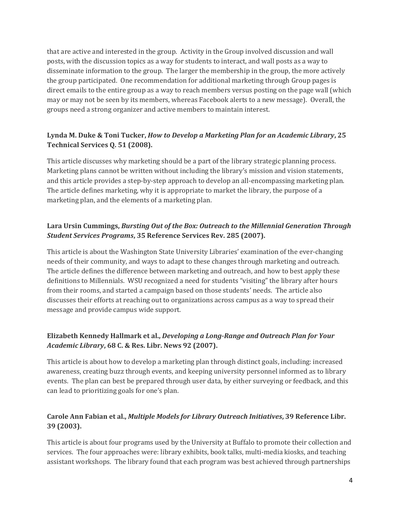that are active and interested in the group. Activity in the Group involved discussion and wall posts, with the discussion topics as a way for students to interact, and wall posts as a way to disseminate information to the group. The larger the membership in the group, the more actively the group participated. One recommendation for additional marketing through Group pages is direct emails to the entire group as a way to reach members versus posting on the page wall (which may or may not be seen by its members, whereas Facebook alerts to a new message). Overall, the groups need a strong organizer and active members to maintain interest.

## **Lynda M. Duke & Toni Tucker,** *How to Develop a Marketing Plan for an Academic Library***, 25 Technical Services Q. 51 (2008).**

This article discusses why marketing should be a part of the library strategic planning process. Marketing plans cannot be written without including the library's mission and vision statements, and this article provides a step-by-step approach to develop an all-encompassing marketing plan. The article defines marketing, why it is appropriate to market the library, the purpose of a marketing plan, and the elements of a marketing plan.

# **Lara Ursin Cummings,** *Bursting Out of the Box: Outreach to the Millennial Generation Through Student Services Programs***, 35 Reference Services Rev. 285 (2007).**

This article is about the Washington State University Libraries' examination of the ever-changing needs of their community, and ways to adapt to these changes through marketing and outreach. The article defines the difference between marketing and outreach, and how to best apply these definitions to Millennials. WSU recognized a need for students "visiting" the library after hours from their rooms, and started a campaign based on those students' needs. The article also discusses their efforts at reaching out to organizations across campus as a way to spread their message and provide campus wide support.

#### **Elizabeth Kennedy Hallmark et al.,** *Developing a Long-Range and Outreach Plan for Your Academic Library***, 68 C. & Res. Libr. News 92 (2007).**

This article is about how to develop a marketing plan through distinct goals, including: increased awareness, creating buzz through events, and keeping university personnel informed as to library events. The plan can best be prepared through user data, by either surveying or feedback, and this can lead to prioritizing goals for one's plan.

# **Carole Ann Fabian et al.,** *Multiple Models for Library Outreach Initiatives***, 39 Reference Libr. 39 (2003).**

This article is about four programs used by the University at Buffalo to promote their collection and services. The four approaches were: library exhibits, book talks, multi-media kiosks, and teaching assistant workshops. The library found that each program was best achieved through partnerships